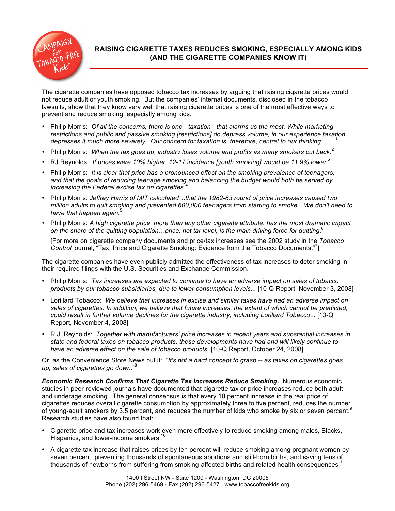

# **RAISING CIGARETTE TAXES REDUCES SMOKING, ESPECIALLY AMONG KIDS (AND THE CIGARETTE COMPANIES KNOW IT)**

The cigarette companies have opposed tobacco tax increases by arguing that raising cigarette prices would not reduce adult or youth smoking. But the companies' internal documents, disclosed in the tobacco lawsuits, show that they know very well that raising cigarette prices is one of the most effective ways to prevent and reduce smoking, especially among kids.

- Philip Morris: *Of all the concerns, there is one - taxation - that alarms us the most. While marketing restrictions and public and passive smoking [restrictions] do depress volume, in our experience taxation depresses it much more severely. Our concern for taxation is, therefore, central to our thinking . . . . 1*
- Philip Morris: *When the tax goes up, industry loses volume and profits as many smokers cut back.*<sup>2</sup>
- RJ Reynolds: *If prices were 10% higher, 12-17 incidence [youth smoking] would be 11.9% lower.<sup>3</sup>*
- Philip Morris: *It is clear that price has a pronounced effect on the smoking prevalence of teenagers, and that the goals of reducing teenage smoking and balancing the budget would both be served by increasing the Federal excise tax on cigarettes.*<sup>4</sup>
- Philip Morris: *Jeffrey Harris of MIT calculated…that the 1982-83 round of price increases caused two million adults to quit smoking and prevented 600,000 teenagers from starting to smoke…We don't need to have that happen again.*<sup>5</sup>
- Philip Morris: *A high cigarette price, more than any other cigarette attribute, has the most dramatic impact on the share of the quitting population…price, not tar level, is the main driving force for quitting*. 6

[For more on cigarette company documents and price/tax increases see the 2002 study in the *Tobacco Control* journal, "Tax, Price and Cigarette Smoking: Evidence from the Tobacco Documents."7 ]

The cigarette companies have even publicly admitted the effectiveness of tax increases to deter smoking in their required filings with the U.S. Securities and Exchange Commission.

- Philip Morris: *Tax increases are expected to continue to have an adverse impact on sales of tobacco products by our tobacco subsidiaries, due to lower consumption levels...* [10-Q Report, November 3, 2008]
- Lorillard Tobacco: *We believe that increases in excise and similar taxes have had an adverse impact on sales of cigarettes. In addition, we believe that future increases, the extent of which cannot be predicted, could result in further volume declines for the cigarette industry, including Lorillard Tobacco*... [10-Q Report, November 4, 2008]
- R.J. Reynolds: *Together with manufacturers' price increases in recent years and substantial increases in state and federal taxes on tobacco products, these developments have had and will likely continue to have an adverse effect on the sale of tobacco products.* [10-Q Report, October 24, 2008]

Or, as the Convenience Store News put it: "*It's not a hard concept to grasp -- as taxes on cigarettes goes up, sales of cigarettes go down*."<sup>8</sup>

*Economic Research Confirms That Cigarette Tax Increases Reduce Smoking.*Numerous economic studies in peer-reviewed journals have documented that cigarette tax or price increases reduce both adult and underage smoking. The general consensus is that every 10 percent increase in the real price of cigarettes reduces overall cigarette consumption by approximately three to five percent, reduces the number of young-adult smokers by 3.5 percent, and reduces the number of kids who smoke by six or seven percent.<sup>9</sup> Research studies have also found that:

- Cigarette price and tax increases work even more effectively to reduce smoking among males, Blacks, Hispanics, and lower-income smokers.<sup>10</sup>
- A cigarette tax increase that raises prices by ten percent will reduce smoking among pregnant women by seven percent, preventing thousands of spontaneous abortions and still-born births, and saving tens of thousands of newborns from suffering from smoking-affected births and related health consequences.<sup>11</sup>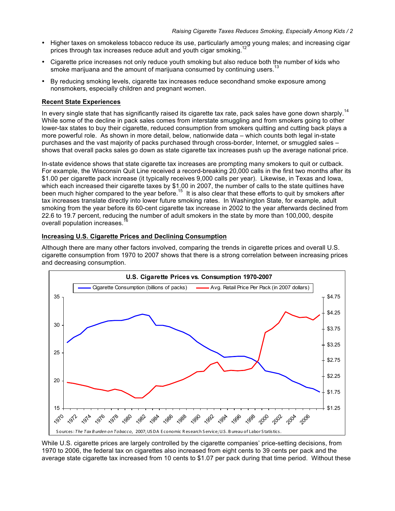- Higher taxes on smokeless tobacco reduce its use, particularly among young males; and increasing cigar prices through tax increases reduce adult and youth cigar smoking.<sup>12</sup>
- Cigarette price increases not only reduce youth smoking but also reduce both the number of kids who smoke marijuana and the amount of marijuana consumed by continuing users.<sup>13</sup>
- By reducing smoking levels, cigarette tax increases reduce secondhand smoke exposure among nonsmokers, especially children and pregnant women.

## **Recent State Experiences**

In every single state that has significantly raised its cigarette tax rate, pack sales have gone down sharply.<sup>14</sup> While some of the decline in pack sales comes from interstate smuggling and from smokers going to other lower-tax states to buy their cigarette, reduced consumption from smokers quitting and cutting back plays a more powerful role. As shown in more detail, below, nationwide data – which counts both legal in-state purchases and the vast majority of packs purchased through cross-border, Internet, or smuggled sales – shows that overall packs sales go down as state cigarette tax increases push up the average national price.

In-state evidence shows that state cigarette tax increases are prompting many smokers to quit or cutback. For example, the Wisconsin Quit Line received a record-breaking 20,000 calls in the first two months after its \$1.00 per cigarette pack increase (it typically receives 9,000 calls per year). Likewise, in Texas and Iowa, which each increased their cigarette taxes by \$1.00 in 2007, the number of calls to the state quitlines have been much higher compared to the year before.<sup>15</sup> It is also clear that these efforts to quit by smokers after tax increases translate directly into lower future smoking rates. In Washington State, for example, adult smoking from the year before its 60-cent cigarette tax increase in 2002 to the year afterwards declined from 22.6 to 19.7 percent, reducing the number of adult smokers in the state by more than 100,000, despite overall population increases.

### **Increasing U.S. Cigarette Prices and Declining Consumption**

Although there are many other factors involved, comparing the trends in cigarette prices and overall U.S. cigarette consumption from 1970 to 2007 shows that there is a strong correlation between increasing prices and decreasing consumption.



While U.S. cigarette prices are largely controlled by the cigarette companies' price-setting decisions, from 1970 to 2006, the federal tax on cigarettes also increased from eight cents to 39 cents per pack and the average state cigarette tax increased from 10 cents to \$1.07 per pack during that time period. Without these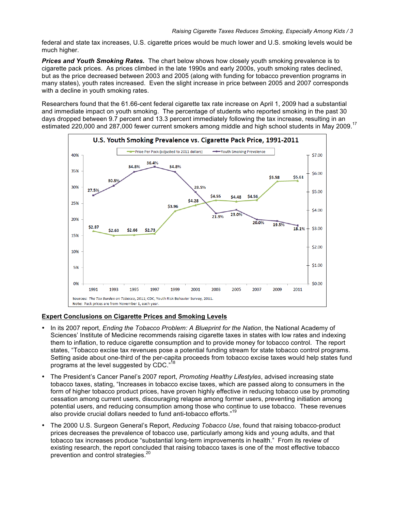federal and state tax increases, U.S. cigarette prices would be much lower and U.S. smoking levels would be much higher.

*Prices and Youth Smoking Rates.* The chart below shows how closely youth smoking prevalence is to cigarette pack prices. As prices climbed in the late 1990s and early 2000s, youth smoking rates declined, but as the price decreased between 2003 and 2005 (along with funding for tobacco prevention programs in many states), youth rates increased. Even the slight increase in price between 2005 and 2007 corresponds with a decline in youth smoking rates.

Researchers found that the 61.66-cent federal cigarette tax rate increase on April 1, 2009 had a substantial and immediate impact on youth smoking. The percentage of students who reported smoking in the past 30 days dropped between 9.7 percent and 13.3 percent immediately following the tax increase, resulting in an estimated 220,000 and 287,000 fewer current smokers among middle and high school students in May 2009.<sup>17</sup>



# **Expert Conclusions on Cigarette Prices and Smoking Levels**

- In its 2007 report, *Ending the Tobacco Problem: A Blueprint for the Nation*, the National Academy of Sciences' Institute of Medicine recommends raising cigarette taxes in states with low rates and indexing them to inflation, to reduce cigarette consumption and to provide money for tobacco control. The report states, "Tobacco excise tax revenues pose a potential funding stream for state tobacco control programs. Setting aside about one-third of the per-capita proceeds from tobacco excise taxes would help states fund programs at the level suggested by CDC."
- The President's Cancer Panel's 2007 report, *Promoting Healthy Lifestyles*, advised increasing state tobacco taxes, stating, "Increases in tobacco excise taxes, which are passed along to consumers in the form of higher tobacco product prices, have proven highly effective in reducing tobacco use by promoting cessation among current users, discouraging relapse among former users, preventing initiation among potential users, and reducing consumption among those who continue to use tobacco. These revenues also provide crucial dollars needed to fund anti-tobacco efforts." 19
- The 2000 U.S. Surgeon General's Report, *Reducing Tobacco Use*, found that raising tobacco-product prices decreases the prevalence of tobacco use, particularly among kids and young adults, and that tobacco tax increases produce "substantial long-term improvements in health." From its review of existing research, the report concluded that raising tobacco taxes is one of the most effective tobacco prevention and control strategies.<sup>20</sup>